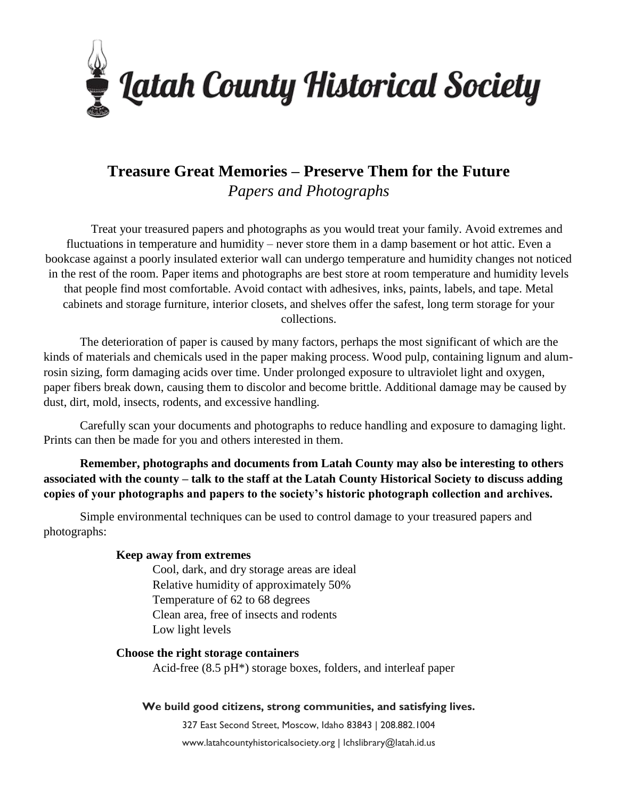

# **Treasure Great Memories – Preserve Them for the Future** *Papers and Photographs*

Treat your treasured papers and photographs as you would treat your family. Avoid extremes and fluctuations in temperature and humidity – never store them in a damp basement or hot attic. Even a bookcase against a poorly insulated exterior wall can undergo temperature and humidity changes not noticed in the rest of the room. Paper items and photographs are best store at room temperature and humidity levels that people find most comfortable. Avoid contact with adhesives, inks, paints, labels, and tape. Metal cabinets and storage furniture, interior closets, and shelves offer the safest, long term storage for your collections.

The deterioration of paper is caused by many factors, perhaps the most significant of which are the kinds of materials and chemicals used in the paper making process. Wood pulp, containing lignum and alumrosin sizing, form damaging acids over time. Under prolonged exposure to ultraviolet light and oxygen, paper fibers break down, causing them to discolor and become brittle. Additional damage may be caused by dust, dirt, mold, insects, rodents, and excessive handling.

Carefully scan your documents and photographs to reduce handling and exposure to damaging light. Prints can then be made for you and others interested in them.

**Remember, photographs and documents from Latah County may also be interesting to others associated with the county – talk to the staff at the Latah County Historical Society to discuss adding copies of your photographs and papers to the society's historic photograph collection and archives.**

Simple environmental techniques can be used to control damage to your treasured papers and photographs:

## **Keep away from extremes**

Cool, dark, and dry storage areas are ideal Relative humidity of approximately 50% Temperature of 62 to 68 degrees Clean area, free of insects and rodents Low light levels

## **Choose the right storage containers**

Acid-free (8.5 pH\*) storage boxes, folders, and interleaf paper

#### **We build good citizens, strong communities, and satisfying lives.**

327 East Second Street, Moscow, Idaho 83843 | 208.882.1004 www.latahcountyhistoricalsociety.org | lchslibrary@latah.id.us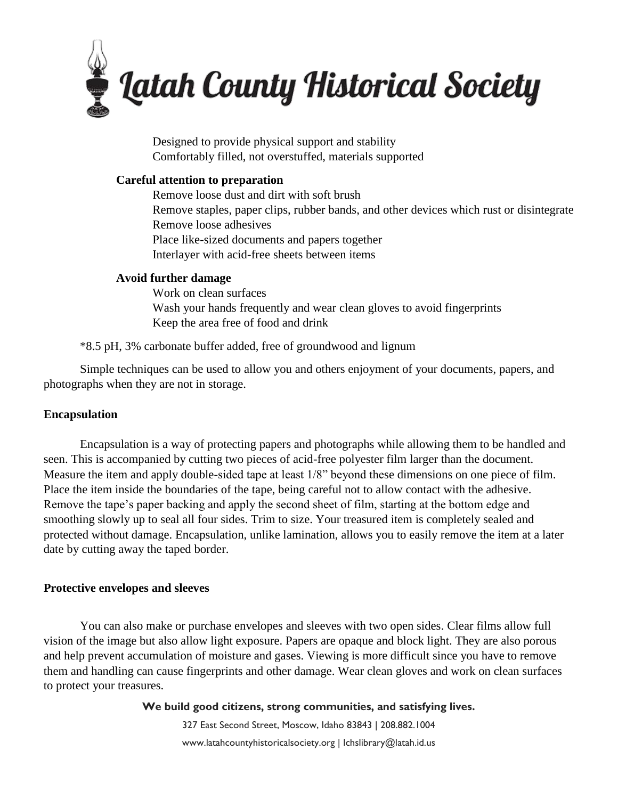

Designed to provide physical support and stability Comfortably filled, not overstuffed, materials supported

## **Careful attention to preparation**

Remove loose dust and dirt with soft brush Remove staples, paper clips, rubber bands, and other devices which rust or disintegrate Remove loose adhesives Place like-sized documents and papers together Interlayer with acid-free sheets between items

## **Avoid further damage**

Work on clean surfaces Wash your hands frequently and wear clean gloves to avoid fingerprints Keep the area free of food and drink

\*8.5 pH, 3% carbonate buffer added, free of groundwood and lignum

Simple techniques can be used to allow you and others enjoyment of your documents, papers, and photographs when they are not in storage.

## **Encapsulation**

Encapsulation is a way of protecting papers and photographs while allowing them to be handled and seen. This is accompanied by cutting two pieces of acid-free polyester film larger than the document. Measure the item and apply double-sided tape at least 1/8" beyond these dimensions on one piece of film. Place the item inside the boundaries of the tape, being careful not to allow contact with the adhesive. Remove the tape's paper backing and apply the second sheet of film, starting at the bottom edge and smoothing slowly up to seal all four sides. Trim to size. Your treasured item is completely sealed and protected without damage. Encapsulation, unlike lamination, allows you to easily remove the item at a later date by cutting away the taped border.

#### **Protective envelopes and sleeves**

You can also make or purchase envelopes and sleeves with two open sides. Clear films allow full vision of the image but also allow light exposure. Papers are opaque and block light. They are also porous and help prevent accumulation of moisture and gases. Viewing is more difficult since you have to remove them and handling can cause fingerprints and other damage. Wear clean gloves and work on clean surfaces to protect your treasures.

**We build good citizens, strong communities, and satisfying lives.**

327 East Second Street, Moscow, Idaho 83843 | 208.882.1004 www.latahcountyhistoricalsociety.org | lchslibrary@latah.id.us